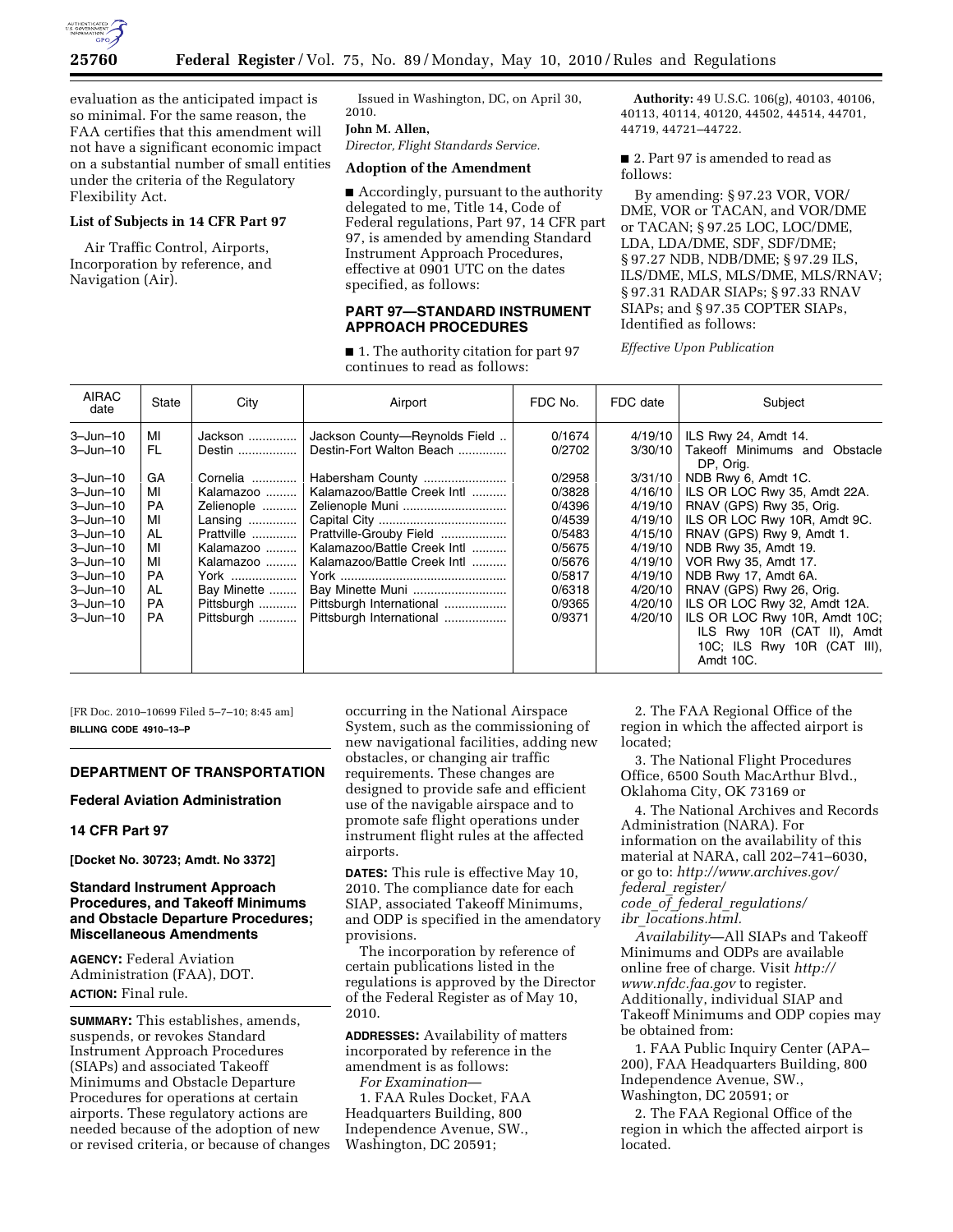

evaluation as the anticipated impact is so minimal. For the same reason, the FAA certifies that this amendment will not have a significant economic impact on a substantial number of small entities under the criteria of the Regulatory Flexibility Act.

## **List of Subjects in 14 CFR Part 97**

Air Traffic Control, Airports, Incorporation by reference, and Navigation (Air).

Issued in Washington, DC, on April 30, 2010.

## **John M. Allen,**

*Director, Flight Standards Service.* 

# **Adoption of the Amendment**

■ Accordingly, pursuant to the authority delegated to me, Title 14, Code of Federal regulations, Part 97, 14 CFR part 97, is amended by amending Standard Instrument Approach Procedures, effective at 0901 UTC on the dates specified, as follows:

#### **PART 97—STANDARD INSTRUMENT APPROACH PROCEDURES**

■ 1. The authority citation for part 97 continues to read as follows:

**Authority:** 49 U.S.C. 106(g), 40103, 40106, 40113, 40114, 40120, 44502, 44514, 44701, 44719, 44721–44722.

■ 2. Part 97 is amended to read as follows:

By amending: § 97.23 VOR, VOR/ DME, VOR or TACAN, and VOR/DME or TACAN; § 97.25 LOC, LOC/DME, LDA, LDA/DME, SDF, SDF/DME; § 97.27 NDB, NDB/DME; § 97.29 ILS, ILS/DME, MLS, MLS/DME, MLS/RNAV; § 97.31 RADAR SIAPs; § 97.33 RNAV SIAPs; and § 97.35 COPTER SIAPs, Identified as follows:

*Effective Upon Publication* 

| <b>AIRAC</b><br>date | State     | City        | Airport                       | FDC No. | FDC date | Subject                                    |
|----------------------|-----------|-------------|-------------------------------|---------|----------|--------------------------------------------|
| $3 - Jun - 10$       | МI        | Jackson     | Jackson County-Reynolds Field | 0/1674  | 4/19/10  | ILS Rwy 24, Amdt 14.                       |
| $3 - Jun - 10$       | FL.       | Destin      | Destin-Fort Walton Beach      | 0/2702  | 3/30/10  | Takeoff Minimums and Obstacle<br>DP, Orig. |
| $3 - Jun - 10$       | GA        | Cornelia    | Habersham County              | 0/2958  | 3/31/10  | NDB Rwy 6, Amdt 1C.                        |
| $3 - Jun - 10$       | МI        | Kalamazoo   | Kalamazoo/Battle Creek Intl   | 0/3828  | 4/16/10  | ILS OR LOC Rwy 35, Amdt 22A.               |
| $3 - Jun - 10$       | <b>PA</b> | Zelienople  | Zelienople Muni               | 0/4396  | 4/19/10  | RNAV (GPS) Rwy 35, Orig.                   |
| $3 - Jun - 10$       | MI        | Lansing     |                               | 0/4539  | 4/19/10  | ILS OR LOC Rwy 10R, Amdt 9C.               |
| $3 - Jun - 10$       | AL        | Prattville  | Prattville-Grouby Field       | 0/5483  | 4/15/10  | RNAV (GPS) Rwy 9, Amdt 1.                  |
| $3 - Jun - 10$       | MI        | Kalamazoo   | Kalamazoo/Battle Creek Intl   | 0/5675  | 4/19/10  | NDB Rwy 35, Amdt 19.                       |
| $3 - Jun - 10$       | MI        | Kalamazoo   | Kalamazoo/Battle Creek Intl   | 0/5676  | 4/19/10  | VOR Rwy 35, Amdt 17.                       |
| $3 - Jun - 10$       | <b>PA</b> | York        |                               | 0/5817  | 4/19/10  | NDB Rwy 17, Amdt 6A.                       |
| $3 - Jun - 10$       | AL        | Bay Minette | Bay Minette Muni              | 0/6318  | 4/20/10  | RNAV (GPS) Rwy 26, Orig.                   |
| $3 - Jun - 10$       | <b>PA</b> | Pittsburgh  | Pittsburgh International      | 0/9365  | 4/20/10  | ILS OR LOC Rwy 32, Amdt 12A.               |
| $3 - Jun - 10$       | <b>PA</b> | Pittsburgh  | Pittsburgh International      | 0/9371  | 4/20/10  | ILS OR LOC Rwy 10R, Amdt 10C;              |
|                      |           |             |                               |         |          | ILS Rwy 10R (CAT II), Amdt                 |
|                      |           |             |                               |         |          | 10C; ILS Rwy 10R (CAT III),                |
|                      |           |             |                               |         |          | Amdt 10C.                                  |

[FR Doc. 2010–10699 Filed 5–7–10; 8:45 am] **BILLING CODE 4910–13–P** 

# **DEPARTMENT OF TRANSPORTATION**

#### **Federal Aviation Administration**

#### **14 CFR Part 97**

**[Docket No. 30723; Amdt. No 3372]** 

## **Standard Instrument Approach Procedures, and Takeoff Minimums and Obstacle Departure Procedures; Miscellaneous Amendments**

**AGENCY:** Federal Aviation Administration (FAA), DOT. **ACTION:** Final rule.

**SUMMARY:** This establishes, amends, suspends, or revokes Standard Instrument Approach Procedures (SIAPs) and associated Takeoff Minimums and Obstacle Departure Procedures for operations at certain airports. These regulatory actions are needed because of the adoption of new or revised criteria, or because of changes

occurring in the National Airspace System, such as the commissioning of new navigational facilities, adding new obstacles, or changing air traffic requirements. These changes are designed to provide safe and efficient use of the navigable airspace and to promote safe flight operations under instrument flight rules at the affected airports.

**DATES:** This rule is effective May 10, 2010. The compliance date for each SIAP, associated Takeoff Minimums, and ODP is specified in the amendatory provisions.

The incorporation by reference of certain publications listed in the regulations is approved by the Director of the Federal Register as of May 10, 2010.

**ADDRESSES:** Availability of matters incorporated by reference in the amendment is as follows:

*For Examination*— 1. FAA Rules Docket, FAA Headquarters Building, 800 Independence Avenue, SW., Washington, DC 20591;

2. The FAA Regional Office of the region in which the affected airport is located;

3. The National Flight Procedures Office, 6500 South MacArthur Blvd., Oklahoma City, OK 73169 or

4. The National Archives and Records Administration (NARA). For information on the availability of this material at NARA, call 202–741–6030, or go to: *http://www.archives.gov/ federal*\_*register/ code*\_*of*\_*federal*\_*regulations/* 

*ibr*\_*locations.html.* 

*Availability*—All SIAPs and Takeoff Minimums and ODPs are available online free of charge. Visit *http:// www.nfdc.faa.gov* to register. Additionally, individual SIAP and Takeoff Minimums and ODP copies may be obtained from:

1. FAA Public Inquiry Center (APA– 200), FAA Headquarters Building, 800 Independence Avenue, SW., Washington, DC 20591; or

2. The FAA Regional Office of the region in which the affected airport is located.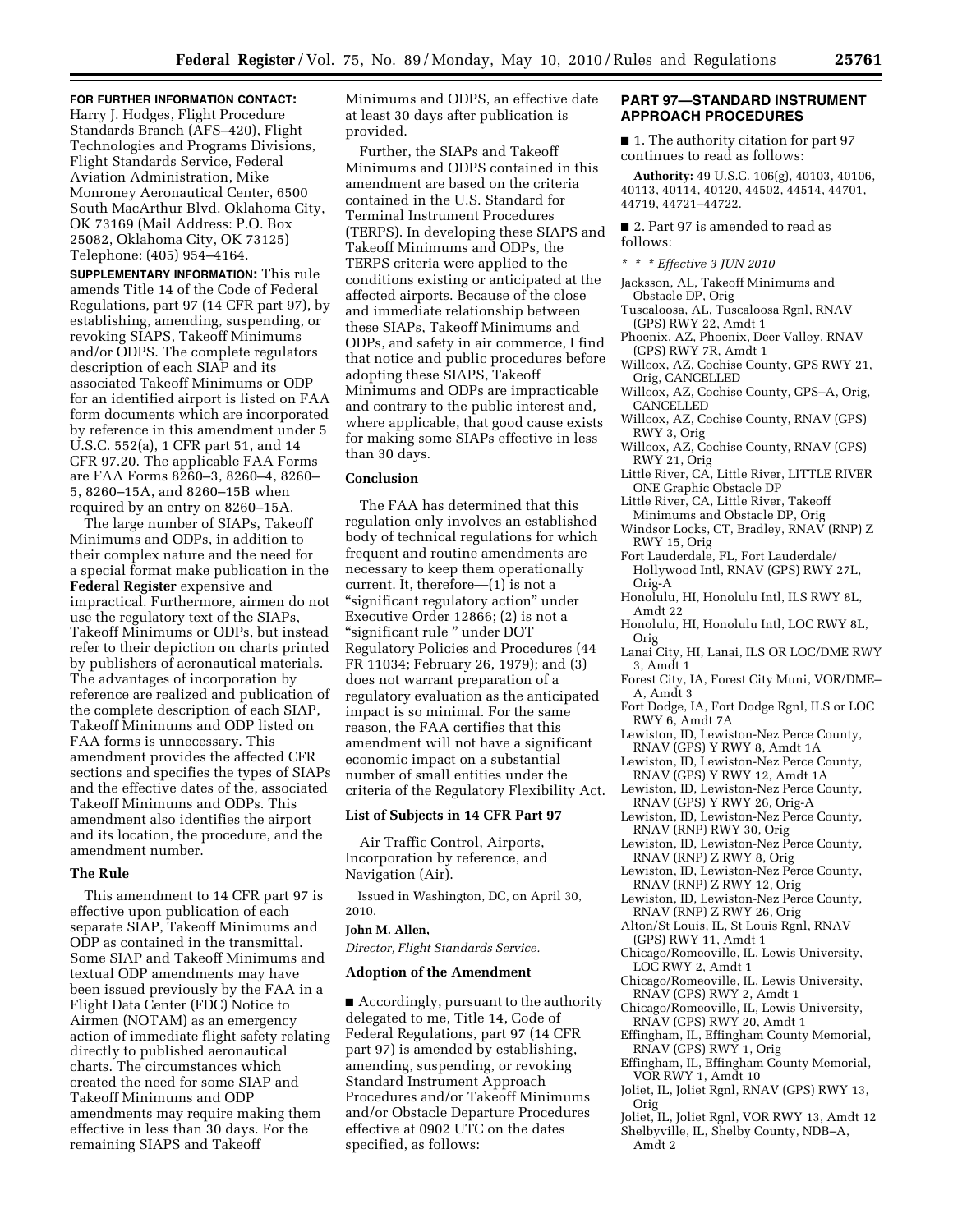**FOR FURTHER INFORMATION CONTACT:**  Harry J. Hodges, Flight Procedure Standards Branch (AFS–420), Flight Technologies and Programs Divisions, Flight Standards Service, Federal Aviation Administration, Mike Monroney Aeronautical Center, 6500 South MacArthur Blvd. Oklahoma City, OK 73169 (Mail Address: P.O. Box 25082, Oklahoma City, OK 73125) Telephone: (405) 954–4164.

**SUPPLEMENTARY INFORMATION:** This rule amends Title 14 of the Code of Federal Regulations, part 97 (14 CFR part 97), by establishing, amending, suspending, or revoking SIAPS, Takeoff Minimums and/or ODPS. The complete regulators description of each SIAP and its associated Takeoff Minimums or ODP for an identified airport is listed on FAA form documents which are incorporated by reference in this amendment under 5 U.S.C. 552(a), 1 CFR part 51, and 14 CFR 97.20. The applicable FAA Forms are FAA Forms 8260–3, 8260–4, 8260– 5, 8260–15A, and 8260–15B when required by an entry on 8260–15A.

The large number of SIAPs, Takeoff Minimums and ODPs, in addition to their complex nature and the need for a special format make publication in the **Federal Register** expensive and impractical. Furthermore, airmen do not use the regulatory text of the SIAPs, Takeoff Minimums or ODPs, but instead refer to their depiction on charts printed by publishers of aeronautical materials. The advantages of incorporation by reference are realized and publication of the complete description of each SIAP, Takeoff Minimums and ODP listed on FAA forms is unnecessary. This amendment provides the affected CFR sections and specifies the types of SIAPs and the effective dates of the, associated Takeoff Minimums and ODPs. This amendment also identifies the airport and its location, the procedure, and the amendment number.

#### **The Rule**

This amendment to 14 CFR part 97 is effective upon publication of each separate SIAP, Takeoff Minimums and ODP as contained in the transmittal. Some SIAP and Takeoff Minimums and textual ODP amendments may have been issued previously by the FAA in a Flight Data Center (FDC) Notice to Airmen (NOTAM) as an emergency action of immediate flight safety relating directly to published aeronautical charts. The circumstances which created the need for some SIAP and Takeoff Minimums and ODP amendments may require making them effective in less than 30 days. For the remaining SIAPS and Takeoff

Minimums and ODPS, an effective date at least 30 days after publication is provided.

Further, the SIAPs and Takeoff Minimums and ODPS contained in this amendment are based on the criteria contained in the U.S. Standard for Terminal Instrument Procedures (TERPS). In developing these SIAPS and Takeoff Minimums and ODPs, the TERPS criteria were applied to the conditions existing or anticipated at the affected airports. Because of the close and immediate relationship between these SIAPs, Takeoff Minimums and ODPs, and safety in air commerce, I find that notice and public procedures before adopting these SIAPS, Takeoff Minimums and ODPs are impracticable and contrary to the public interest and, where applicable, that good cause exists for making some SIAPs effective in less than 30 days.

# **Conclusion**

The FAA has determined that this regulation only involves an established body of technical regulations for which frequent and routine amendments are necessary to keep them operationally current. It, therefore—(1) is not a "significant regulatory action" under Executive Order 12866; (2) is not a ''significant rule '' under DOT Regulatory Policies and Procedures (44 FR 11034; February 26, 1979); and (3) does not warrant preparation of a regulatory evaluation as the anticipated impact is so minimal. For the same reason, the FAA certifies that this amendment will not have a significant economic impact on a substantial number of small entities under the criteria of the Regulatory Flexibility Act.

#### **List of Subjects in 14 CFR Part 97**

Air Traffic Control, Airports, Incorporation by reference, and Navigation (Air).

Issued in Washington, DC, on April 30, 2010.

#### **John M. Allen,**

*Director, Flight Standards Service.* 

## **Adoption of the Amendment**

■ Accordingly, pursuant to the authority delegated to me, Title 14, Code of Federal Regulations, part 97 (14 CFR part 97) is amended by establishing, amending, suspending, or revoking Standard Instrument Approach Procedures and/or Takeoff Minimums and/or Obstacle Departure Procedures effective at 0902 UTC on the dates specified, as follows:

#### **PART 97—STANDARD INSTRUMENT APPROACH PROCEDURES**

■ 1. The authority citation for part 97 continues to read as follows:

**Authority:** 49 U.S.C. 106(g), 40103, 40106, 40113, 40114, 40120, 44502, 44514, 44701, 44719, 44721–44722.

#### ■ 2. Part 97 is amended to read as follows:

*\* \* \* Effective 3 JUN 2010* 

- Jacksson, AL, Takeoff Minimums and Obstacle DP, Orig
- Tuscaloosa, AL, Tuscaloosa Rgnl, RNAV (GPS) RWY 22, Amdt 1
- Phoenix, AZ, Phoenix, Deer Valley, RNAV (GPS) RWY 7R, Amdt 1
- Willcox, AZ, Cochise County, GPS RWY 21, Orig, CANCELLED
- Willcox, AZ, Cochise County, GPS–A, Orig, CANCELLED
- Willcox, AZ, Cochise County, RNAV (GPS) RWY 3, Orig
- Willcox, AZ, Cochise County, RNAV (GPS) RWY 21, Orig
- Little River, CA, Little River, LITTLE RIVER ONE Graphic Obstacle DP
- Little River, CA, Little River, Takeoff Minimums and Obstacle DP, Orig
- Windsor Locks, CT, Bradley, RNAV (RNP) Z RWY 15, Orig
- Fort Lauderdale, FL, Fort Lauderdale/ Hollywood Intl, RNAV (GPS) RWY 27L, Orig-A
- Honolulu, HI, Honolulu Intl, ILS RWY 8L, Amdt 22
- Honolulu, HI, Honolulu Intl, LOC RWY 8L, Orig
- Lanai City, HI, Lanai, ILS OR LOC/DME RWY 3, Amdt 1
- Forest City, IA, Forest City Muni, VOR/DME– A, Amdt 3
- Fort Dodge, IA, Fort Dodge Rgnl, ILS or LOC RWY 6, Amdt 7A
- Lewiston, ID, Lewiston-Nez Perce County, RNAV (GPS) Y RWY 8, Amdt 1A
- Lewiston, ID, Lewiston-Nez Perce County, RNAV (GPS) Y RWY 12, Amdt 1A
- Lewiston, ID, Lewiston-Nez Perce County, RNAV (GPS) Y RWY 26, Orig-A
- Lewiston, ID, Lewiston-Nez Perce County, RNAV (RNP) RWY 30, Orig
- Lewiston, ID, Lewiston-Nez Perce County, RNAV (RNP) Z RWY 8, Orig
- Lewiston, ID, Lewiston-Nez Perce County, RNAV (RNP) Z RWY 12, Orig
- Lewiston, ID, Lewiston-Nez Perce County, RNAV (RNP) Z RWY 26, Orig
- Alton/St Louis, IL, St Louis Rgnl, RNAV (GPS) RWY 11, Amdt 1
- Chicago/Romeoville, IL, Lewis University, LOC RWY 2, Amdt 1
- Chicago/Romeoville, IL, Lewis University, RNAV (GPS) RWY 2, Amdt 1
- Chicago/Romeoville, IL, Lewis University, RNAV (GPS) RWY 20, Amdt 1
- Effingham, IL, Effingham County Memorial, RNAV (GPS) RWY 1, Orig
- Effingham, IL, Effingham County Memorial, VOR RWY 1, Amdt 10
- Joliet, IL, Joliet Rgnl, RNAV (GPS) RWY 13, Orig
- Joliet, IL, Joliet Rgnl, VOR RWY 13, Amdt 12 Shelbyville, IL, Shelby County, NDB–A, Amdt 2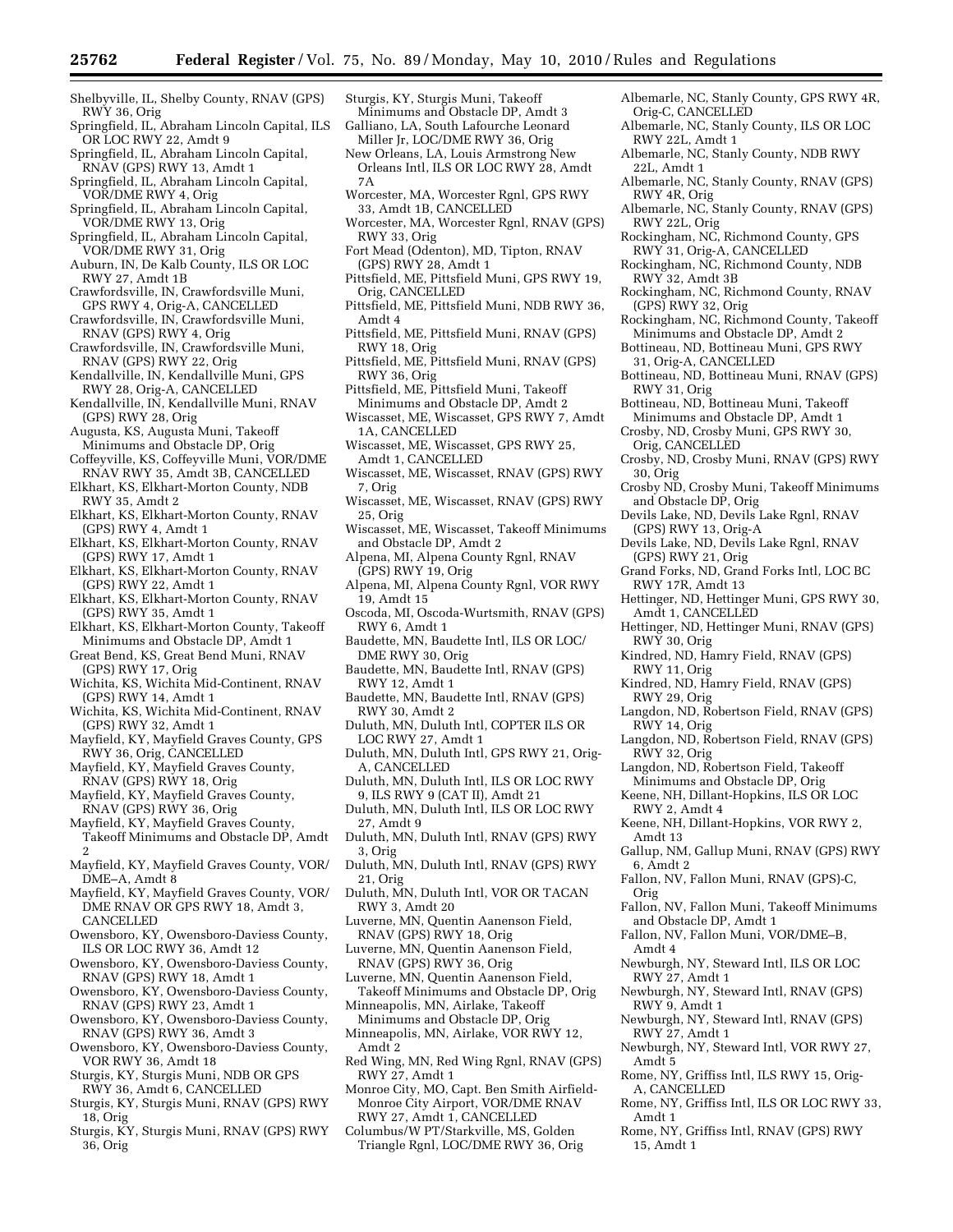- Shelbyville, IL, Shelby County, RNAV (GPS) RWY 36, Orig
- Springfield, IL, Abraham Lincoln Capital, ILS OR LOC RWY 22, Amdt 9
- Springfield, IL, Abraham Lincoln Capital, RNAV (GPS) RWY 13, Amdt 1
- Springfield, IL, Abraham Lincoln Capital, VOR/DME RWY 4, Orig
- Springfield, IL, Abraham Lincoln Capital, VOR/DME RWY 13, Orig
- Springfield, IL, Abraham Lincoln Capital, VOR/DME RWY 31, Orig
- Auburn, IN, De Kalb County, ILS OR LOC RWY 27, Amdt 1B
- Crawfordsville, IN, Crawfordsville Muni, GPS RWY 4, Orig-A, CANCELLED
- Crawfordsville, IN, Crawfordsville Muni, RNAV (GPS) RWY 4, Orig
- Crawfordsville, IN, Crawfordsville Muni, RNAV (GPS) RWY 22, Orig
- Kendallville, IN, Kendallville Muni, GPS RWY 28, Orig-A, CANCELLED
- Kendallville, IN, Kendallville Muni, RNAV (GPS) RWY 28, Orig
- Augusta, KS, Augusta Muni, Takeoff Minimums and Obstacle DP, Orig
- Coffeyville, KS, Coffeyville Muni, VOR/DME RNAV RWY 35, Amdt 3B, CANCELLED
- Elkhart, KS, Elkhart-Morton County, NDB RWY 35, Amdt 2
- Elkhart, KS, Elkhart-Morton County, RNAV (GPS) RWY 4, Amdt 1
- Elkhart, KS, Elkhart-Morton County, RNAV (GPS) RWY 17, Amdt 1
- Elkhart, KS, Elkhart-Morton County, RNAV (GPS) RWY 22, Amdt 1
- Elkhart, KS, Elkhart-Morton County, RNAV (GPS) RWY 35, Amdt 1
- Elkhart, KS, Elkhart-Morton County, Takeoff Minimums and Obstacle DP, Amdt 1
- Great Bend, KS, Great Bend Muni, RNAV (GPS) RWY 17, Orig
- Wichita, KS, Wichita Mid-Continent, RNAV (GPS) RWY 14, Amdt 1
- Wichita, KS, Wichita Mid-Continent, RNAV (GPS) RWY 32, Amdt 1
- Mayfield, KY, Mayfield Graves County, GPS RWY 36, Orig, CANCELLED
- Mayfield, KY, Mayfield Graves County, RNAV (GPS) RWY 18, Orig
- Mayfield, KY, Mayfield Graves County, RNAV (GPS) RWY 36, Orig
- Mayfield, KY, Mayfield Graves County, Takeoff Minimums and Obstacle DP, Amdt
- 2
- Mayfield, KY, Mayfield Graves County, VOR/ DME–A, Amdt 8
- Mayfield, KY, Mayfield Graves County, VOR/ DME RNAV OR GPS RWY 18, Amdt 3, CANCELLED
- Owensboro, KY, Owensboro-Daviess County, ILS OR LOC RWY 36, Amdt 12
- Owensboro, KY, Owensboro-Daviess County, RNAV (GPS) RWY 18, Amdt 1
- Owensboro, KY, Owensboro-Daviess County, RNAV (GPS) RWY 23, Amdt 1
- Owensboro, KY, Owensboro-Daviess County, RNAV (GPS) RWY 36, Amdt 3
- Owensboro, KY, Owensboro-Daviess County, VOR RWY 36, Amdt 18
- Sturgis, KY, Sturgis Muni, NDB OR GPS RWY 36, Amdt 6, CANCELLED
- Sturgis, KY, Sturgis Muni, RNAV (GPS) RWY 18, Orig
- Sturgis, KY, Sturgis Muni, RNAV (GPS) RWY 36, Orig
- Sturgis, KY, Sturgis Muni, Takeoff Minimums and Obstacle DP, Amdt 3
- Galliano, LA, South Lafourche Leonard Miller Jr, LOC/DME RWY 36, Orig
- New Orleans, LA, Louis Armstrong New Orleans Intl, ILS OR LOC RWY 28, Amdt 7A
- Worcester, MA, Worcester Rgnl, GPS RWY 33, Amdt 1B, CANCELLED
- Worcester, MA, Worcester Rgnl, RNAV (GPS) RWY 33, Orig
- Fort Mead (Odenton), MD, Tipton, RNAV (GPS) RWY 28, Amdt 1
- Pittsfield, ME, Pittsfield Muni, GPS RWY 19, Orig, CANCELLED
- Pittsfield, ME, Pittsfield Muni, NDB RWY 36, Amdt 4
- Pittsfield, ME, Pittsfield Muni, RNAV (GPS) RWY 18, Orig
- Pittsfield, ME, Pittsfield Muni, RNAV (GPS) RWY 36, Orig
- Pittsfield, ME, Pittsfield Muni, Takeoff Minimums and Obstacle DP, Amdt 2
- Wiscasset, ME, Wiscasset, GPS RWY 7, Amdt 1A, CANCELLED
- Wiscasset, ME, Wiscasset, GPS RWY 25, Amdt 1, CANCELLED
- Wiscasset, ME, Wiscasset, RNAV (GPS) RWY 7, Orig
- Wiscasset, ME, Wiscasset, RNAV (GPS) RWY 25, Orig
- Wiscasset, ME, Wiscasset, Takeoff Minimums and Obstacle DP, Amdt 2
- Alpena, MI, Alpena County Rgnl, RNAV  $(GPS)$  RWY 19, Orig
- Alpena, MI, Alpena County Rgnl, VOR RWY 19, Amdt 15
- Oscoda, MI, Oscoda-Wurtsmith, RNAV (GPS) RWY 6, Amdt 1
- Baudette, MN, Baudette Intl, ILS OR LOC/ DME RWY 30, Orig
- Baudette, MN, Baudette Intl, RNAV (GPS) RWY 12, Amdt 1
- Baudette, MN, Baudette Intl, RNAV (GPS) RWY 30, Amdt 2
- Duluth, MN, Duluth Intl, COPTER ILS OR LOC RWY 27, Amdt 1
- Duluth, MN, Duluth Intl, GPS RWY 21, Orig-A, CANCELLED
- Duluth, MN, Duluth Intl, ILS OR LOC RWY 9, ILS RWY 9 (CAT II), Amdt 21
- Duluth, MN, Duluth Intl, ILS OR LOC RWY 27, Amdt 9
- Duluth, MN, Duluth Intl, RNAV (GPS) RWY 3, Orig
- Duluth, MN, Duluth Intl, RNAV (GPS) RWY 21, Orig
- Duluth, MN, Duluth Intl, VOR OR TACAN RWY 3, Amdt 20
- Luverne, MN, Quentin Aanenson Field, RNAV (GPS) RWY 18, Orig
- Luverne, MN, Quentin Aanenson Field, RNAV (GPS) RWY 36, Orig
- Luverne, MN, Quentin Aanenson Field, Takeoff Minimums and Obstacle DP, Orig Minneapolis, MN, Airlake, Takeoff
- Minimums and Obstacle DP, Orig
- Minneapolis, MN, Airlake, VOR RWY 12, Amdt 2
- Red Wing, MN, Red Wing Rgnl, RNAV (GPS) RWY 27, Amdt 1
- Monroe City, MO, Capt. Ben Smith Airfield-Monroe City Airport, VOR/DME RNAV RWY 27, Amdt 1, CANCELLED
- Columbus/W PT/Starkville, MS, Golden Triangle Rgnl, LOC/DME RWY 36, Orig
- Albemarle, NC, Stanly County, GPS RWY 4R, Orig-C, CANCELLED
- Albemarle, NC, Stanly County, ILS OR LOC RWY 22L, Amdt 1
- Albemarle, NC, Stanly County, NDB RWY 22L, Amdt 1
- Albemarle, NC, Stanly County, RNAV (GPS) RWY 4R, Orig
- Albemarle, NC, Stanly County, RNAV (GPS) RWY 22L, Orig
- Rockingham, NC, Richmond County, GPS RWY 31, Orig-A, CANCELLED
- Rockingham, NC, Richmond County, NDB RWY 32, Amdt 3B
- Rockingham, NC, Richmond County, RNAV (GPS) RWY 32, Orig
- Rockingham, NC, Richmond County, Takeoff Minimums and Obstacle DP, Amdt 2
- Bottineau, ND, Bottineau Muni, GPS RWY 31, Orig-A, CANCELLED
- Bottineau, ND, Bottineau Muni, RNAV (GPS) RWY 31, Orig
- Bottineau, ND, Bottineau Muni, Takeoff
- Minimums and Obstacle DP, Amdt 1
- Crosby, ND, Crosby Muni, GPS RWY 30, Orig, CANCELLED
- Crosby, ND, Crosby Muni, RNAV (GPS) RWY 30, Orig
- Crosby ND, Crosby Muni, Takeoff Minimums and Obstacle DP, Orig
- Devils Lake, ND, Devils Lake Rgnl, RNAV (GPS) RWY 13, Orig-A
- Devils Lake, ND, Devils Lake Rgnl, RNAV (GPS) RWY 21, Orig
- Grand Forks, ND, Grand Forks Intl, LOC BC RWY 17R, Amdt 13
- Hettinger, ND, Hettinger Muni, GPS RWY 30, Amdt 1, CANCELLED
- Hettinger, ND, Hettinger Muni, RNAV (GPS) RWY 30, Orig
- Kindred, ND, Hamry Field, RNAV (GPS) RWY 11, Orig
- Kindred, ND, Hamry Field, RNAV (GPS) RWY 29, Orig

Langdon, ND, Robertson Field, Takeoff Minimums and Obstacle DP, Orig Keene, NH, Dillant-Hopkins, ILS OR LOC

Keene, NH, Dillant-Hopkins, VOR RWY 2,

Fallon, NV, Fallon Muni, RNAV (GPS)-C,

Fallon, NV, Fallon Muni, VOR/DME–B,

Newburgh, NY, Steward Intl, ILS OR LOC

Newburgh, NY, Steward Intl, RNAV (GPS)

Newburgh, NY, Steward Intl, RNAV (GPS)

Newburgh, NY, Steward Intl, VOR RWY 27,

Rome, NY, Griffiss Intl, ILS RWY 15, Orig-

Rome, NY, Griffiss Intl, RNAV (GPS) RWY

Rome, NY, Griffiss Intl, ILS OR LOC RWY 33,

and Obstacle DP, Amdt 1

Gallup, NM, Gallup Muni, RNAV (GPS) RWY

Fallon, NV, Fallon Muni, Takeoff Minimums

RWY 32, Orig

RWY 2, Amdt 4

Amdt 13

6, Amdt 2

Orig

Amdt 4

Amdt 5

Amdt 1

15, Amdt 1

RWY 27, Amdt 1

RWY 9, Amdt 1

RWY 27, Amdt 1

A, CANCELLED

Langdon, ND, Robertson Field, RNAV (GPS) RWY 14, Orig Langdon, ND, Robertson Field, RNAV (GPS)